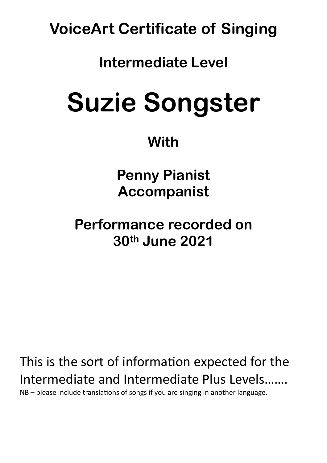**VoiceArt Certificate of Singing** 

## **Intermediate Level**

# **Suzie Songster**

## **With**

**Penny Pianist Accompanist** 

**Performance recorded on 30th June 2021** 

This is the sort of information expected for the Intermediate and Intermediate Plus Levels…….  $NB$  – please include translations of songs if you are singing in another language.